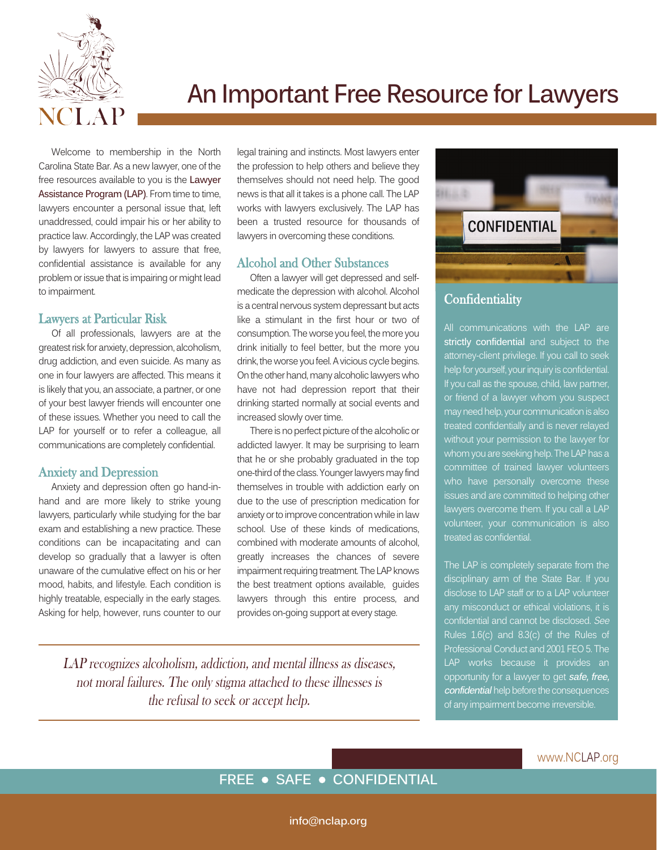

# **An Important Free Resource for Lawyers**

Welcome to membership in the North Carolina State Bar. As a new lawyer, one of the free resources available to you is the **Lawyer Assistance Program (LAP)**. From time to time, lawyers encounter a personal issue that, left unaddressed, could impair his or her ability to practice law. Accordingly, the LAP was created by lawyers for lawyers to assure that free, confidential assistance is available for any problem or issue that is impairing or might lead to impairment.

#### Lawyers at Particular Risk

Of all professionals, lawyers are at the greatest risk for anxiety, depression, alcoholism, drug addiction, and even suicide. As many as one in four lawyers are affected. This means it is likely that you, an associate, a partner, or one of your best lawyer friends will encounter one of these issues. Whether you need to call the LAP for yourself or to refer a colleague, all communications are completely confidential.

#### Anxiety and Depression

Anxiety and depression often go hand-inhand and are more likely to strike young lawyers, particularly while studying for the bar exam and establishing a new practice. These conditions can be incapacitating and can develop so gradually that a lawyer is often unaware of the cumulative effect on his or her mood, habits, and lifestyle. Each condition is highly treatable, especially in the early stages. Asking for help, however, runs counter to our legal training and instincts. Most lawyers enter the profession to help others and believe they themselves should not need help. The good news is that all it takes is a phone call. The LAP works with lawyers exclusively. The LAP has been a trusted resource for thousands of lawyers in overcoming these conditions.

#### Alcohol and Other Substances

Often a lawyer will get depressed and selfmedicate the depression with alcohol. Alcohol is a central nervous system depressant but acts like a stimulant in the first hour or two of consumption. The worse you feel, the more you drink initially to feel better, but the more you drink, the worse you feel. A vicious cycle begins. On the other hand, many alcoholic lawyers who have not had depression report that their drinking started normally at social events and increased slowly over time.

There is no perfect picture of the alcoholic or addicted lawyer. It may be surprising to learn that he or she probably graduated in the top one-third of the class. Younger lawyers may find themselves in trouble with addiction early on due to the use of prescription medication for anxiety or to improve concentration while in law school. Use of these kinds of medications, combined with moderate amounts of alcohol, greatly increases the chances of severe impairment requiring treatment. The LAP knows the best treatment options available, guides lawyers through this entire process, and provides on-going support at every stage.

LAP recognizes alcoholism, addiction, and mental illness as diseases, not moral failures. The only stigma attached to these illnesses is the refusal to seek or accept help.



### **Confidentiality**

All communications with the LAP are **strictly confidential** and subject to the attorney-client privilege. If you call to seek help for yourself, your inquiry is confidential. If you call as the spouse, child, law partner, or friend of a lawyer whom you suspect may need help, your communication is also treated confidentially and is never relayed without your permission to the lawyer for whom you are seeking help. The LAP has a committee of trained lawyer volunteers who have personally overcome these issues and are committed to helping other lawyers overcome them. If you call a LAP volunteer, your communication is also treated as confidential.

The LAP is completely separate from the disciplinary arm of the State Bar. If you disclose to LAP staff or to a LAP volunteer any misconduct or ethical violations, it is confidential and cannot be disclosed. See Rules 1.6(c) and 8.3(c) of the Rules of Professional Conduct and 2001 FEO 5. The LAP works because it provides an opportunity for a lawyer to get **safe, free, confidential** help before the consequences of any impairment become irreversible.

# **FREE • SAFE • CONFIDENTIAL**